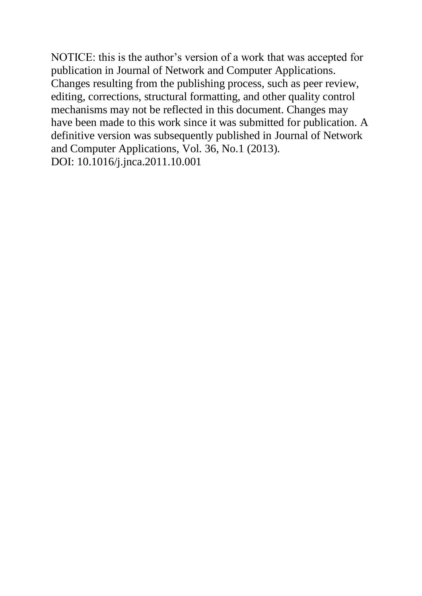NOTICE: this is the author's version of a work that was accepted for publication in Journal of Network and Computer Applications. Changes resulting from the publishing process, such as peer review, editing, corrections, structural formatting, and other quality control mechanisms may not be reflected in this document. Changes may have been made to this work since it was submitted for publication. A definitive version was subsequently published in Journal of Network and Computer Applications, Vol. 36, No.1 (2013). DOI: 10.1016/j.jnca.2011.10.001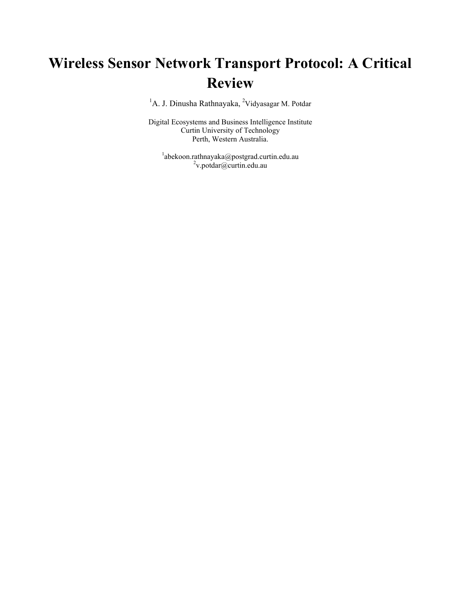# **Wireless Sensor Network Transport Protocol: A Critical Review**

<sup>1</sup>A. J. Dinusha Rathnayaka, <sup>2</sup>Vidyasagar M. Potdar

Digital Ecosystems and Business Intelligence Institute Curtin University of Technology Perth, Western Australia.

<sup>1</sup>abekoon.rathnayaka@postgrad.curtin.edu.au <sup>2</sup>v.potdar@curtin.edu.au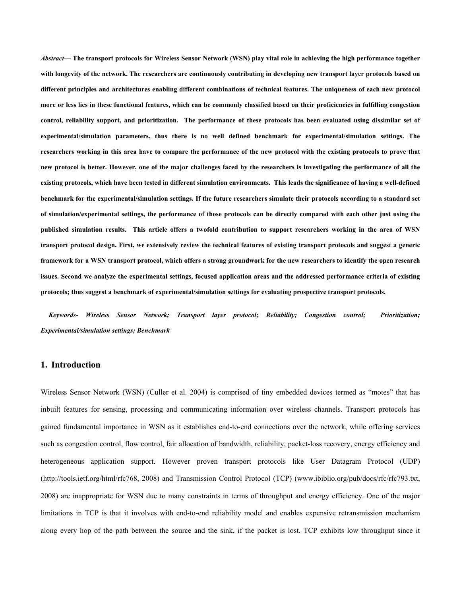*Abstract***— The transport protocols for Wireless Sensor Network (WSN) play vital role in achieving the high performance together with longevity of the network. The researchers are continuously contributing in developing new transport layer protocols based on different principles and architectures enabling different combinations of technical features. The uniqueness of each new protocol more or less lies in these functional features, which can be commonly classified based on their proficiencies in fulfilling congestion control, reliability support, and prioritization. The performance of these protocols has been evaluated using dissimilar set of experimental/simulation parameters, thus there is no well defined benchmark for experimental/simulation settings. The researchers working in this area have to compare the performance of the new protocol with the existing protocols to prove that new protocol is better. However, one of the major challenges faced by the researchers is investigating the performance of all the existing protocols, which have been tested in different simulation environments. This leads the significance of having a well-defined benchmark for the experimental/simulation settings. If the future researchers simulate their protocols according to a standard set of simulation/experimental settings, the performance of those protocols can be directly compared with each other just using the published simulation results. This article offers a twofold contribution to support researchers working in the area of WSN transport protocol design. First, we extensively review the technical features of existing transport protocols and suggest a generic framework for a WSN transport protocol, which offers a strong groundwork for the new researchers to identify the open research issues. Second we analyze the experimental settings, focused application areas and the addressed performance criteria of existing protocols; thus suggest a benchmark of experimental/simulation settings for evaluating prospective transport protocols.** 

*Keywords- Wireless Sensor Network; Transport layer protocol; Reliability; Congestion control; Prioritization; Experimental/simulation settings; Benchmark* 

## **1. Introduction**

Wireless Sensor Network (WSN) (Culler et al. 2004) is comprised of tiny embedded devices termed as "motes" that has inbuilt features for sensing, processing and communicating information over wireless channels. Transport protocols has gained fundamental importance in WSN as it establishes end-to-end connections over the network, while offering services such as congestion control, flow control, fair allocation of bandwidth, reliability, packet-loss recovery, energy efficiency and heterogeneous application support. However proven transport protocols like User Datagram Protocol (UDP) (http://tools.ietf.org/html/rfc768, 2008) and Transmission Control Protocol (TCP) (www.ibiblio.org/pub/docs/rfc/rfc793.txt, 2008) are inappropriate for WSN due to many constraints in terms of throughput and energy efficiency. One of the major limitations in TCP is that it involves with end-to-end reliability model and enables expensive retransmission mechanism along every hop of the path between the source and the sink, if the packet is lost. TCP exhibits low throughput since it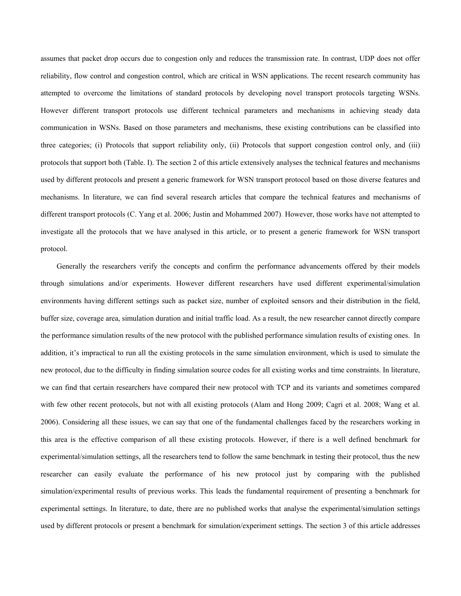assumes that packet drop occurs due to congestion only and reduces the transmission rate. In contrast, UDP does not offer reliability, flow control and congestion control, which are critical in WSN applications. The recent research community has attempted to overcome the limitations of standard protocols by developing novel transport protocols targeting WSNs. However different transport protocols use different technical parameters and mechanisms in achieving steady data communication in WSNs. Based on those parameters and mechanisms, these existing contributions can be classified into three categories; (i) Protocols that support reliability only, (ii) Protocols that support congestion control only, and (iii) protocols that support both (Table. I). The section 2 of this article extensively analyses the technical features and mechanisms used by different protocols and present a generic framework for WSN transport protocol based on those diverse features and mechanisms. In literature, we can find several research articles that compare the technical features and mechanisms of different transport protocols (C. Yang et al. 2006; Justin and Mohammed 2007). However, those works have not attempted to investigate all the protocols that we have analysed in this article, or to present a generic framework for WSN transport protocol.

Generally the researchers verify the concepts and confirm the performance advancements offered by their models through simulations and/or experiments. However different researchers have used different experimental/simulation environments having different settings such as packet size, number of exploited sensors and their distribution in the field, buffer size, coverage area, simulation duration and initial traffic load. As a result, the new researcher cannot directly compare the performance simulation results of the new protocol with the published performance simulation results of existing ones. In addition, it's impractical to run all the existing protocols in the same simulation environment, which is used to simulate the new protocol, due to the difficulty in finding simulation source codes for all existing works and time constraints. In literature, we can find that certain researchers have compared their new protocol with TCP and its variants and sometimes compared with few other recent protocols, but not with all existing protocols (Alam and Hong 2009; Cagri et al. 2008; Wang et al. 2006). Considering all these issues, we can say that one of the fundamental challenges faced by the researchers working in this area is the effective comparison of all these existing protocols. However, if there is a well defined benchmark for experimental/simulation settings, all the researchers tend to follow the same benchmark in testing their protocol, thus the new researcher can easily evaluate the performance of his new protocol just by comparing with the published simulation/experimental results of previous works. This leads the fundamental requirement of presenting a benchmark for experimental settings. In literature, to date, there are no published works that analyse the experimental/simulation settings used by different protocols or present a benchmark for simulation/experiment settings. The section 3 of this article addresses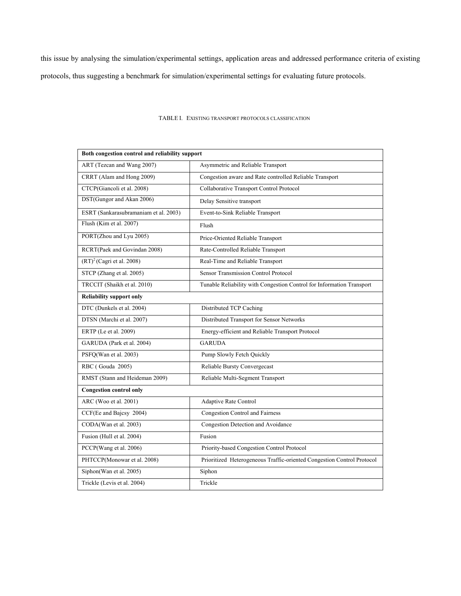this issue by analysing the simulation/experimental settings, application areas and addressed performance criteria of existing protocols, thus suggesting a benchmark for simulation/experimental settings for evaluating future protocols.

| Both congestion control and reliability support |                                                                        |  |  |  |  |  |
|-------------------------------------------------|------------------------------------------------------------------------|--|--|--|--|--|
| ART (Tezcan and Wang 2007)                      | Asymmetric and Reliable Transport                                      |  |  |  |  |  |
| CRRT (Alam and Hong 2009)                       | Congestion aware and Rate controlled Reliable Transport                |  |  |  |  |  |
| CTCP(Giancoli et al. 2008)                      | Collaborative Transport Control Protocol                               |  |  |  |  |  |
| DST(Gungor and Akan 2006)                       | Delay Sensitive transport                                              |  |  |  |  |  |
| ESRT (Sankarasubramaniam et al. 2003)           | Event-to-Sink Reliable Transport                                       |  |  |  |  |  |
| Flush (Kim et al. 2007)                         | Flush                                                                  |  |  |  |  |  |
| PORT(Zhou and Lyu 2005)                         | Price-Oriented Reliable Transport                                      |  |  |  |  |  |
| RCRT(Paek and Govindan 2008)                    | Rate-Controlled Reliable Transport                                     |  |  |  |  |  |
| $(RT)^2$ (Cagri et al. 2008)                    | Real-Time and Reliable Transport                                       |  |  |  |  |  |
| STCP (Zhang et al. 2005)                        | Sensor Transmission Control Protocol                                   |  |  |  |  |  |
| TRCCIT (Shaikh et al. 2010)                     | Tunable Reliability with Congestion Control for Information Transport  |  |  |  |  |  |
| <b>Reliability support only</b>                 |                                                                        |  |  |  |  |  |
| DTC (Dunkels et al. 2004)                       | Distributed TCP Caching                                                |  |  |  |  |  |
| DTSN (Marchi et al. 2007)                       | Distributed Transport for Sensor Networks                              |  |  |  |  |  |
| ERTP (Le et al. 2009)                           | Energy-efficient and Reliable Transport Protocol                       |  |  |  |  |  |
| GARUDA (Park et al. 2004)                       | <b>GARUDA</b>                                                          |  |  |  |  |  |
| PSFQ(Wan et al. 2003)                           | Pump Slowly Fetch Quickly                                              |  |  |  |  |  |
| RBC (Gouda 2005)                                | Reliable Bursty Convergecast                                           |  |  |  |  |  |
| RMST (Stann and Heideman 2009)                  | Reliable Multi-Segment Transport                                       |  |  |  |  |  |
| <b>Congestion control only</b>                  |                                                                        |  |  |  |  |  |
| ARC (Woo et al. 2001)                           | Adaptive Rate Control                                                  |  |  |  |  |  |
| CCF(Ee and Bajcsy 2004)                         | Congestion Control and Fairness                                        |  |  |  |  |  |
| CODA(Wan et al. 2003)                           | Congestion Detection and Avoidance                                     |  |  |  |  |  |
| Fusion (Hull et al. 2004)                       | Fusion                                                                 |  |  |  |  |  |
| PCCP(Wang et al. 2006)                          | Priority-based Congestion Control Protocol                             |  |  |  |  |  |
| PHTCCP(Monowar et al. 2008)                     | Prioritized Heterogeneous Traffic-oriented Congestion Control Protocol |  |  |  |  |  |
| Siphon(Wan et al. 2005)                         | Siphon                                                                 |  |  |  |  |  |
| Trickle (Levis et al. 2004)                     | Trickle                                                                |  |  |  |  |  |

## TABLE I. EXISTING TRANSPORT PROTOCOLS CLASSIFICATION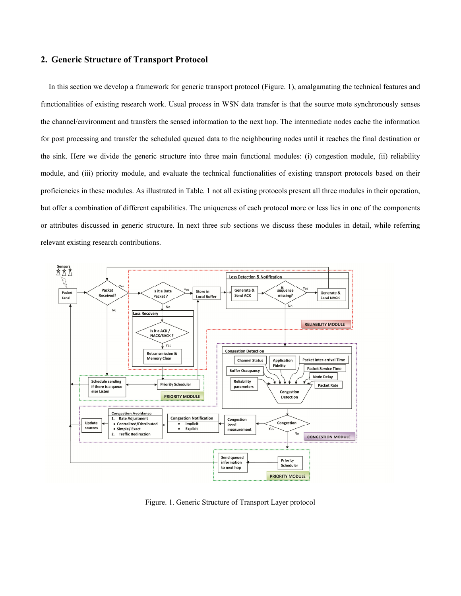# **2. Generic Structure of Transport Protocol**

In this section we develop a framework for generic transport protocol (Figure. 1), amalgamating the technical features and functionalities of existing research work. Usual process in WSN data transfer is that the source mote synchronously senses the channel/environment and transfers the sensed information to the next hop. The intermediate nodes cache the information for post processing and transfer the scheduled queued data to the neighbouring nodes until it reaches the final destination or the sink. Here we divide the generic structure into three main functional modules: (i) congestion module, (ii) reliability module, and (iii) priority module, and evaluate the technical functionalities of existing transport protocols based on their proficiencies in these modules. As illustrated in Table. 1 not all existing protocols present all three modules in their operation, but offer a combination of different capabilities. The uniqueness of each protocol more or less lies in one of the components or attributes discussed in generic structure. In next three sub sections we discuss these modules in detail, while referring relevant existing research contributions.



Figure. 1. Generic Structure of Transport Layer protocol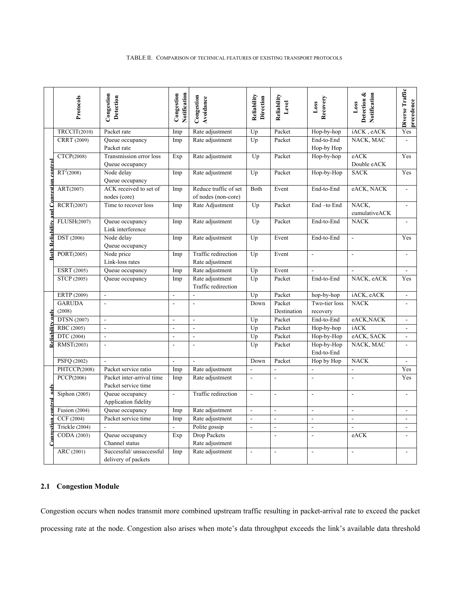|                                                 | Protocols                     | Congestion<br>Detection                          | Notification<br>Congestion | Congestion<br>Avoidance                      | Reliability<br>Direction | Reliability<br>Level     | Recovery<br>Loss          | Notification<br>Detection &<br>Loss | Diverse Traffic<br>precedence |
|-------------------------------------------------|-------------------------------|--------------------------------------------------|----------------------------|----------------------------------------------|--------------------------|--------------------------|---------------------------|-------------------------------------|-------------------------------|
|                                                 | TRCCIT(2010)                  | Packet rate                                      | Imp                        | Rate adjustment                              | Up                       | Packet                   | Hop-by-hop                | iACK, eACK                          | Yes                           |
|                                                 | CRRT (2009)                   | Queue occupancy<br>Packet rate                   | Imp                        | Rate adjustment                              | Up                       | Packet                   | End-to-End<br>Hop-by Hop  | NACK, MAC                           |                               |
|                                                 | CTCP(2008)                    | Transmission error loss<br>Queue occupancy       | Exp                        | Rate adjustment                              | Up                       | Packet                   | Hop-by-hop                | eACK<br>Double eACK                 | Yes                           |
|                                                 | $RT^2(2008)$                  | Node delay<br>Queue occupancy                    | Imp                        | Rate adjustment                              | Up                       | Packet                   | Hop-by-Hop                | <b>SACK</b>                         | Yes                           |
|                                                 | $\overline{\text{ART}(2007)}$ | ACK received to set of<br>nodes (core)           | Imp                        | Reduce traffic of set<br>of nodes (non-core) | Both                     | Event                    | End-to-End                | eACK, NACK                          |                               |
| <u> Both Reliability and Congestion control</u> | RCRT(2007)                    | Time to recover loss                             | Imp                        | Rate Adjustment                              | Up                       | Packet                   | End-to End                | NACK,<br>cumulativeACK              |                               |
|                                                 | FLUSH(2007)                   | Queue occupancy<br>Link interference             | Imp                        | Rate adjustment                              | Up                       | Packet                   | End-to-End                | <b>NACK</b>                         |                               |
|                                                 | DST (2006)                    | Node delay<br>Queue occupancy                    | Imp                        | Rate adjustment                              | Up                       | Event                    | End-to-End                | $\blacksquare$                      | Yes                           |
|                                                 | PORT(2005)                    | Node price<br>Link-loss rates                    | Imp                        | Traffic redirection<br>Rate adjustment       | Up                       | Event                    | $\blacksquare$            | $\blacksquare$                      |                               |
|                                                 | ESRT (2005)                   | Queue occupancy                                  | Imp                        | Rate adjustment                              | Up                       | Event                    | $\overline{a}$            |                                     |                               |
|                                                 | STCP (2005)                   | Queue occupancy                                  | Imp                        | Rate adjustment<br>Traffic redirection       | Up                       | Packet                   | End-to-End                | NACK, eACK                          | Yes                           |
|                                                 | ERTP (2009)                   | $\blacksquare$                                   | $\overline{a}$             | $\blacksquare$                               | Up                       | Packet                   | hop-by-hop                | iACK, eACK                          |                               |
|                                                 | <b>GARUDA</b><br>(2008)       | $\overline{\phantom{a}}$                         | $\sim$                     | $\overline{\phantom{a}}$                     | Down                     | Packet<br>Destination    | Two-tier loss<br>recovery | <b>NACK</b>                         |                               |
| $\sqrt{a}$                                      | <b>DTSN</b> (2007)            | $\overline{\phantom{a}}$                         | $\blacksquare$             | $\overline{\phantom{a}}$                     | Up                       | Packet                   | End-to-End                | eACK, NACK                          |                               |
|                                                 | RBC (2005)                    | $\overline{\phantom{a}}$                         | $\overline{\phantom{a}}$   | $\blacksquare$                               | Up                       | Packet                   | Hop-by-hop                | iACK                                |                               |
| Reliabilit                                      | DTC (2004)                    | $\Box$                                           | $\overline{\phantom{a}}$   | $\mathbb{Z}^2$                               | Up                       | Packet                   | Hop-by-Hop                | eACK, SACK                          |                               |
|                                                 | RMST(2003)                    |                                                  |                            | $\overline{\phantom{a}}$                     | Up                       | Packet                   | Hop-by-Hop<br>End-to-End  | NACK, MAC                           |                               |
|                                                 | PSFQ (2002)                   | $\overline{\phantom{a}}$                         | $\Box$                     | $\overline{a}$                               | Down                     | Packet                   | Hop by Hop                | <b>NACK</b>                         | $\blacksquare$                |
|                                                 | PHTCCP(2008)                  | Packet service ratio                             | Imp                        | Rate adjustment                              | $\overline{\phantom{a}}$ | $\overline{a}$           | $\overline{\phantom{a}}$  | $\blacksquare$                      | Yes                           |
|                                                 | PCCP(2006)                    | Packet inter-arrival time<br>Packet service time | Imp                        | Rate adjustment                              | $\blacksquare$           | $\overline{\phantom{a}}$ | ÷,                        | $\sim$                              | Yes                           |
| n<br>Tun                                        | Siphon (2005)                 | Queue occupancy<br>Application fidelity          | ÷,                         | Traffic redirection                          | $\overline{\phantom{a}}$ | $\blacksquare$           | $\blacksquare$            | $\blacksquare$                      |                               |
| control                                         | <b>Fusion</b> (2004)          | Queue occupancy                                  | Imp                        | Rate adjustment                              | $\overline{\phantom{a}}$ | $\blacksquare$           | $\blacksquare$            | $\blacksquare$                      |                               |
|                                                 | CCF (2004)                    | Packet service time                              | Imp                        | Rate adjustment                              | $\Box$                   | $\blacksquare$           | $\blacksquare$            | $\blacksquare$                      | ۰                             |
|                                                 | Trickle (2004)                |                                                  | $\overline{a}$             | Polite gossip                                |                          |                          |                           | $\overline{a}$                      |                               |
| $\cap$ an $\alpha$ esi                          | CODA (2003)                   | Queue occupancy<br>Channel status                | Exp                        | Drop Packets<br>Rate adjustment              |                          |                          |                           | eACK                                |                               |
|                                                 | ARC (2001)                    | Successful/ unsuccessful<br>delivery of packets  | Imp                        | Rate adjustment                              | $\overline{\phantom{a}}$ | $\blacksquare$           | $\blacksquare$            | $\overline{\phantom{a}}$            |                               |

# **2.1 Congestion Module**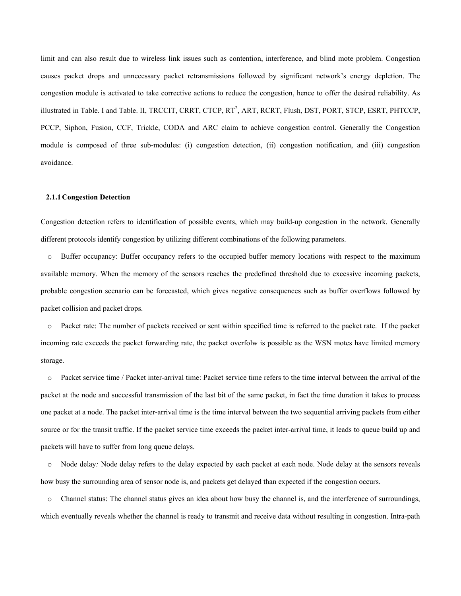limit and can also result due to wireless link issues such as contention, interference, and blind mote problem. Congestion causes packet drops and unnecessary packet retransmissions followed by significant network's energy depletion. The congestion module is activated to take corrective actions to reduce the congestion, hence to offer the desired reliability. As illustrated in Table. I and Table. II, TRCCIT, CRRT, CTCP, RT<sup>2</sup>, ART, RCRT, Flush, DST, PORT, STCP, ESRT, PHTCCP, PCCP, Siphon, Fusion, CCF, Trickle, CODA and ARC claim to achieve congestion control. Generally the Congestion module is composed of three sub-modules: (i) congestion detection, (ii) congestion notification, and (iii) congestion avoidance.

#### **2.1.1Congestion Detection**

Congestion detection refers to identification of possible events, which may build-up congestion in the network. Generally different protocols identify congestion by utilizing different combinations of the following parameters.

o Buffer occupancy: Buffer occupancy refers to the occupied buffer memory locations with respect to the maximum available memory. When the memory of the sensors reaches the predefined threshold due to excessive incoming packets, probable congestion scenario can be forecasted, which gives negative consequences such as buffer overflows followed by packet collision and packet drops.

o Packet rate: The number of packets received or sent within specified time is referred to the packet rate. If the packet incoming rate exceeds the packet forwarding rate, the packet overfolw is possible as the WSN motes have limited memory storage.

o Packet service time / Packet inter-arrival time: Packet service time refers to the time interval between the arrival of the packet at the node and successful transmission of the last bit of the same packet, in fact the time duration it takes to process one packet at a node. The packet inter-arrival time is the time interval between the two sequential arriving packets from either source or for the transit traffic. If the packet service time exceeds the packet inter-arrival time, it leads to queue build up and packets will have to suffer from long queue delays.

o Node delay*:* Node delay refers to the delay expected by each packet at each node. Node delay at the sensors reveals how busy the surrounding area of sensor node is, and packets get delayed than expected if the congestion occurs.

o Channel status: The channel status gives an idea about how busy the channel is, and the interference of surroundings, which eventually reveals whether the channel is ready to transmit and receive data without resulting in congestion. Intra-path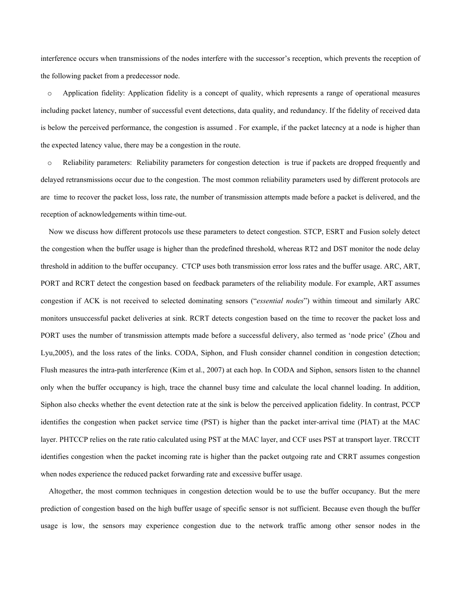interference occurs when transmissions of the nodes interfere with the successor's reception, which prevents the reception of the following packet from a predecessor node.

o Application fidelity: Application fidelity is a concept of quality, which represents a range of operational measures including packet latency, number of successful event detections, data quality, and redundancy. If the fidelity of received data is below the perceived performance, the congestion is assumed . For example, if the packet latecncy at a node is higher than the expected latency value, there may be a congestion in the route.

o Reliability parameters: Reliability parameters for congestion detection is true if packets are dropped frequently and delayed retransmissions occur due to the congestion. The most common reliability parameters used by different protocols are are time to recover the packet loss, loss rate, the number of transmission attempts made before a packet is delivered, and the reception of acknowledgements within time-out.

Now we discuss how different protocols use these parameters to detect congestion. STCP, ESRT and Fusion solely detect the congestion when the buffer usage is higher than the predefined threshold, whereas RT2 and DST monitor the node delay threshold in addition to the buffer occupancy. CTCP uses both transmission error loss rates and the buffer usage. ARC, ART, PORT and RCRT detect the congestion based on feedback parameters of the reliability module. For example, ART assumes congestion if ACK is not received to selected dominating sensors ("*essential nodes*") within timeout and similarly ARC monitors unsuccessful packet deliveries at sink. RCRT detects congestion based on the time to recover the packet loss and PORT uses the number of transmission attempts made before a successful delivery, also termed as 'node price' (Zhou and Lyu,2005), and the loss rates of the links. CODA, Siphon, and Flush consider channel condition in congestion detection; Flush measures the intra-path interference (Kim et al., 2007) at each hop. In CODA and Siphon, sensors listen to the channel only when the buffer occupancy is high, trace the channel busy time and calculate the local channel loading. In addition, Siphon also checks whether the event detection rate at the sink is below the perceived application fidelity. In contrast, PCCP identifies the congestion when packet service time (PST) is higher than the packet inter-arrival time (PIAT) at the MAC layer. PHTCCP relies on the rate ratio calculated using PST at the MAC layer, and CCF uses PST at transport layer. TRCCIT identifies congestion when the packet incoming rate is higher than the packet outgoing rate and CRRT assumes congestion when nodes experience the reduced packet forwarding rate and excessive buffer usage.

Altogether, the most common techniques in congestion detection would be to use the buffer occupancy. But the mere prediction of congestion based on the high buffer usage of specific sensor is not sufficient. Because even though the buffer usage is low, the sensors may experience congestion due to the network traffic among other sensor nodes in the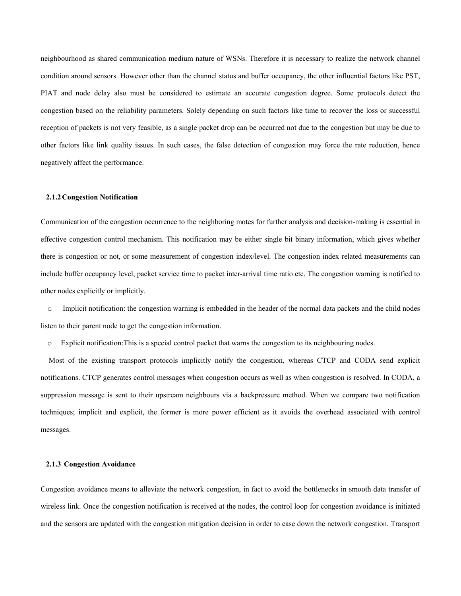neighbourhood as shared communication medium nature of WSNs. Therefore it is necessary to realize the network channel condition around sensors. However other than the channel status and buffer occupancy, the other influential factors like PST, PIAT and node delay also must be considered to estimate an accurate congestion degree. Some protocols detect the congestion based on the reliability parameters. Solely depending on such factors like time to recover the loss or successful reception of packets is not very feasible, as a single packet drop can be occurred not due to the congestion but may be due to other factors like link quality issues. In such cases, the false detection of congestion may force the rate reduction, hence negatively affect the performance.

#### **2.1.2Congestion Notification**

Communication of the congestion occurrence to the neighboring motes for further analysis and decision-making is essential in effective congestion control mechanism. This notification may be either single bit binary information, which gives whether there is congestion or not, or some measurement of congestion index/level. The congestion index related measurements can include buffer occupancy level, packet service time to packet inter-arrival time ratio etc. The congestion warning is notified to other nodes explicitly or implicitly.

o Implicit notification: the congestion warning is embedded in the header of the normal data packets and the child nodes listen to their parent node to get the congestion information.

o Explicit notification:This is a special control packet that warns the congestion to its neighbouring nodes.

Most of the existing transport protocols implicitly notify the congestion, whereas CTCP and CODA send explicit notifications. CTCP generates control messages when congestion occurs as well as when congestion is resolved. In CODA, a suppression message is sent to their upstream neighbours via a backpressure method. When we compare two notification techniques; implicit and explicit, the former is more power efficient as it avoids the overhead associated with control messages.

#### **2.1.3 Congestion Avoidance**

Congestion avoidance means to alleviate the network congestion, in fact to avoid the bottlenecks in smooth data transfer of wireless link. Once the congestion notification is received at the nodes, the control loop for congestion avoidance is initiated and the sensors are updated with the congestion mitigation decision in order to ease down the network congestion. Transport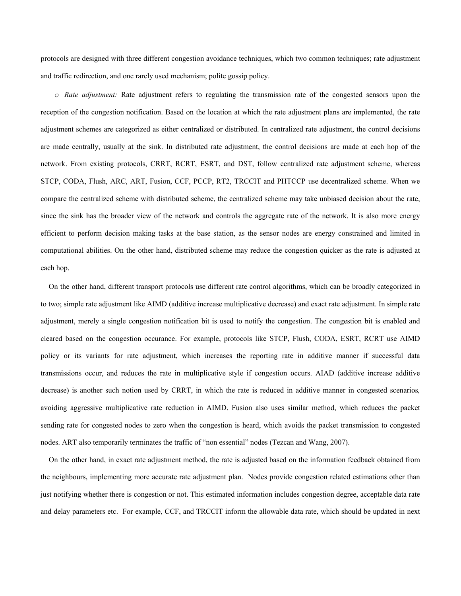protocols are designed with three different congestion avoidance techniques, which two common techniques; rate adjustment and traffic redirection, and one rarely used mechanism; polite gossip policy.

*o Rate adjustment:* Rate adjustment refers to regulating the transmission rate of the congested sensors upon the reception of the congestion notification. Based on the location at which the rate adjustment plans are implemented, the rate adjustment schemes are categorized as either centralized or distributed. In centralized rate adjustment, the control decisions are made centrally, usually at the sink. In distributed rate adjustment, the control decisions are made at each hop of the network. From existing protocols, CRRT, RCRT, ESRT, and DST, follow centralized rate adjustment scheme, whereas STCP, CODA, Flush, ARC, ART, Fusion, CCF, PCCP, RT2, TRCCIT and PHTCCP use decentralized scheme. When we compare the centralized scheme with distributed scheme, the centralized scheme may take unbiased decision about the rate, since the sink has the broader view of the network and controls the aggregate rate of the network. It is also more energy efficient to perform decision making tasks at the base station, as the sensor nodes are energy constrained and limited in computational abilities. On the other hand, distributed scheme may reduce the congestion quicker as the rate is adjusted at each hop.

On the other hand, different transport protocols use different rate control algorithms, which can be broadly categorized in to two; simple rate adjustment like AIMD (additive increase multiplicative decrease) and exact rate adjustment. In simple rate adjustment, merely a single congestion notification bit is used to notify the congestion. The congestion bit is enabled and cleared based on the congestion occurance. For example, protocols like STCP, Flush, CODA, ESRT, RCRT use AIMD policy or its variants for rate adjustment, which increases the reporting rate in additive manner if successful data transmissions occur, and reduces the rate in multiplicative style if congestion occurs. AIAD (additive increase additive decrease) is another such notion used by CRRT, in which the rate is reduced in additive manner in congested scenarios*,*  avoiding aggressive multiplicative rate reduction in AIMD. Fusion also uses similar method, which reduces the packet sending rate for congested nodes to zero when the congestion is heard, which avoids the packet transmission to congested nodes. ART also temporarily terminates the traffic of "non essential" nodes (Tezcan and Wang, 2007).

On the other hand, in exact rate adjustment method, the rate is adjusted based on the information feedback obtained from the neighbours, implementing more accurate rate adjustment plan. Nodes provide congestion related estimations other than just notifying whether there is congestion or not. This estimated information includes congestion degree, acceptable data rate and delay parameters etc. For example, CCF, and TRCCIT inform the allowable data rate, which should be updated in next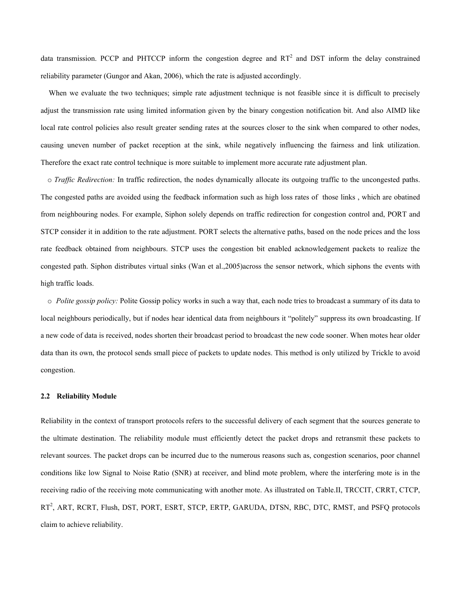data transmission. PCCP and PHTCCP inform the congestion degree and  $RT<sup>2</sup>$  and DST inform the delay constrained reliability parameter (Gungor and Akan, 2006), which the rate is adjusted accordingly.

When we evaluate the two techniques; simple rate adjustment technique is not feasible since it is difficult to precisely adjust the transmission rate using limited information given by the binary congestion notification bit. And also AIMD like local rate control policies also result greater sending rates at the sources closer to the sink when compared to other nodes, causing uneven number of packet reception at the sink, while negatively influencing the fairness and link utilization. Therefore the exact rate control technique is more suitable to implement more accurate rate adjustment plan.

o *Traffic Redirection:* In traffic redirection, the nodes dynamically allocate its outgoing traffic to the uncongested paths. The congested paths are avoided using the feedback information such as high loss rates of those links , which are obatined from neighbouring nodes. For example, Siphon solely depends on traffic redirection for congestion control and, PORT and STCP consider it in addition to the rate adjustment. PORT selects the alternative paths, based on the node prices and the loss rate feedback obtained from neighbours. STCP uses the congestion bit enabled acknowledgement packets to realize the congested path. Siphon distributes virtual sinks (Wan et al.,2005)across the sensor network, which siphons the events with high traffic loads.

o *Polite gossip policy:* Polite Gossip policy works in such a way that, each node tries to broadcast a summary of its data to local neighbours periodically, but if nodes hear identical data from neighbours it "politely" suppress its own broadcasting. If a new code of data is received, nodes shorten their broadcast period to broadcast the new code sooner. When motes hear older data than its own, the protocol sends small piece of packets to update nodes. This method is only utilized by Trickle to avoid congestion.

#### **2.2 Reliability Module**

Reliability in the context of transport protocols refers to the successful delivery of each segment that the sources generate to the ultimate destination. The reliability module must efficiently detect the packet drops and retransmit these packets to relevant sources. The packet drops can be incurred due to the numerous reasons such as, congestion scenarios, poor channel conditions like low Signal to Noise Ratio (SNR) at receiver, and blind mote problem, where the interfering mote is in the receiving radio of the receiving mote communicating with another mote. As illustrated on Table.II, TRCCIT, CRRT, CTCP, RT<sup>2</sup>, ART, RCRT, Flush, DST, PORT, ESRT, STCP, ERTP, GARUDA, DTSN, RBC, DTC, RMST, and PSFQ protocols claim to achieve reliability.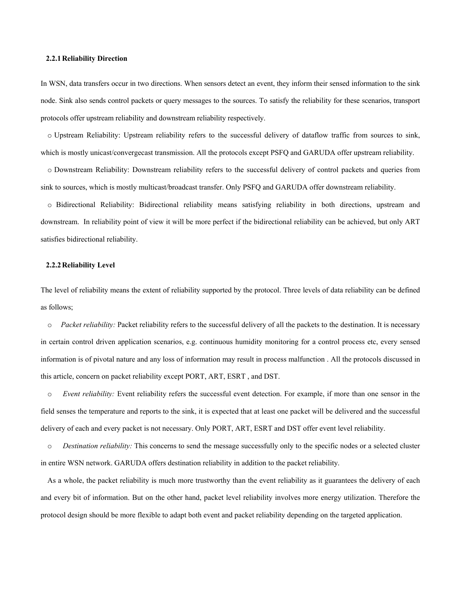#### **2.2.1Reliability Direction**

In WSN, data transfers occur in two directions. When sensors detect an event, they inform their sensed information to the sink node. Sink also sends control packets or query messages to the sources. To satisfy the reliability for these scenarios, transport protocols offer upstream reliability and downstream reliability respectively.

o Upstream Reliability: Upstream reliability refers to the successful delivery of dataflow traffic from sources to sink, which is mostly unicast/convergecast transmission. All the protocols except PSFQ and GARUDA offer upstream reliability.

o Downstream Reliability: Downstream reliability refers to the successful delivery of control packets and queries from sink to sources, which is mostly multicast/broadcast transfer. Only PSFQ and GARUDA offer downstream reliability.

o Bidirectional Reliability: Bidirectional reliability means satisfying reliability in both directions, upstream and downstream. In reliability point of view it will be more perfect if the bidirectional reliability can be achieved, but only ART satisfies bidirectional reliability.

#### **2.2.2Reliability Level**

The level of reliability means the extent of reliability supported by the protocol. Three levels of data reliability can be defined as follows;

o *Packet reliability:* Packet reliability refers to the successful delivery of all the packets to the destination. It is necessary in certain control driven application scenarios, e.g. continuous humidity monitoring for a control process etc, every sensed information is of pivotal nature and any loss of information may result in process malfunction . All the protocols discussed in this article, concern on packet reliability except PORT, ART, ESRT , and DST.

o *Event reliability:* Event reliability refers the successful event detection. For example, if more than one sensor in the field senses the temperature and reports to the sink, it is expected that at least one packet will be delivered and the successful delivery of each and every packet is not necessary. Only PORT, ART, ESRT and DST offer event level reliability.

o *Destination reliability:* This concerns to send the message successfully only to the specific nodes or a selected cluster in entire WSN network. GARUDA offers destination reliability in addition to the packet reliability.

As a whole, the packet reliability is much more trustworthy than the event reliability as it guarantees the delivery of each and every bit of information. But on the other hand, packet level reliability involves more energy utilization. Therefore the protocol design should be more flexible to adapt both event and packet reliability depending on the targeted application.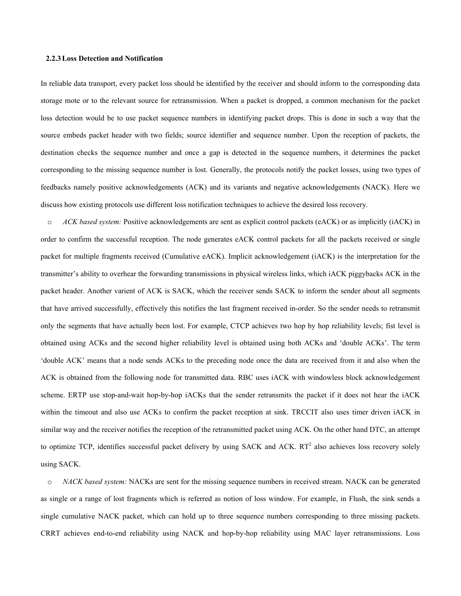## **2.2.3Loss Detection and Notification**

In reliable data transport, every packet loss should be identified by the receiver and should inform to the corresponding data storage mote or to the relevant source for retransmission. When a packet is dropped, a common mechanism for the packet loss detection would be to use packet sequence numbers in identifying packet drops. This is done in such a way that the source embeds packet header with two fields; source identifier and sequence number. Upon the reception of packets, the destination checks the sequence number and once a gap is detected in the sequence numbers, it determines the packet corresponding to the missing sequence number is lost. Generally, the protocols notify the packet losses, using two types of feedbacks namely positive acknowledgements (ACK) and its variants and negative acknowledgements (NACK). Here we discuss how existing protocols use different loss notification techniques to achieve the desired loss recovery.

o *ACK based system:* Positive acknowledgements are sent as explicit control packets (eACK) or as implicitly (iACK) in order to confirm the successful reception. The node generates eACK control packets for all the packets received or single packet for multiple fragments received (Cumulative eACK). Implicit acknowledgement (iACK) is the interpretation for the transmitter's ability to overhear the forwarding transmissions in physical wireless links, which iACK piggybacks ACK in the packet header. Another varient of ACK is SACK, which the receiver sends SACK to inform the sender about all segments that have arrived successfully, effectively this notifies the last fragment received in-order. So the sender needs to retransmit only the segments that have actually been lost. For example, CTCP achieves two hop by hop reliability levels; fist level is obtained using ACKs and the second higher reliability level is obtained using both ACKs and 'double ACKs'. The term 'double ACK' means that a node sends ACKs to the preceding node once the data are received from it and also when the ACK is obtained from the following node for transmitted data. RBC uses iACK with windowless block acknowledgement scheme. ERTP use stop-and-wait hop-by-hop iACKs that the sender retransmits the packet if it does not hear the iACK within the timeout and also use ACKs to confirm the packet reception at sink. TRCCIT also uses timer driven iACK in similar way and the receiver notifies the reception of the retransmitted packet using ACK. On the other hand DTC, an attempt to optimize TCP, identifies successful packet delivery by using SACK and ACK.  $RT^2$  also achieves loss recovery solely using SACK.

o *NACK based system:* NACKs are sent for the missing sequence numbers in received stream. NACK can be generated as single or a range of lost fragments which is referred as notion of loss window. For example, in Flush, the sink sends a single cumulative NACK packet, which can hold up to three sequence numbers corresponding to three missing packets. CRRT achieves end-to-end reliability using NACK and hop-by-hop reliability using MAC layer retransmissions. Loss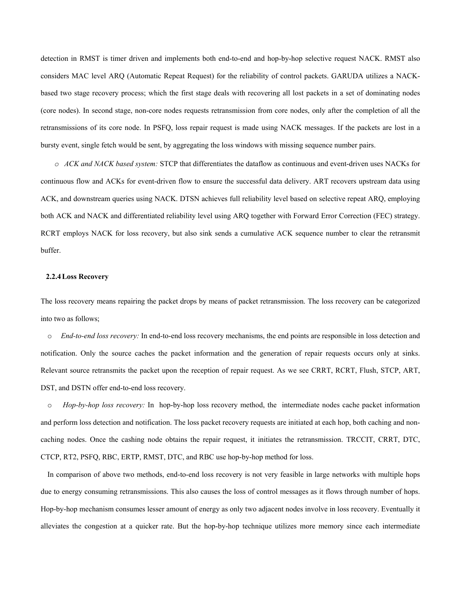detection in RMST is timer driven and implements both end-to-end and hop-by-hop selective request NACK. RMST also considers MAC level ARQ (Automatic Repeat Request) for the reliability of control packets. GARUDA utilizes a NACKbased two stage recovery process; which the first stage deals with recovering all lost packets in a set of dominating nodes (core nodes). In second stage, non-core nodes requests retransmission from core nodes, only after the completion of all the retransmissions of its core node. In PSFQ, loss repair request is made using NACK messages. If the packets are lost in a bursty event, single fetch would be sent, by aggregating the loss windows with missing sequence number pairs.

*o ACK and NACK based system:* STCP that differentiates the dataflow as continuous and event-driven uses NACKs for continuous flow and ACKs for event-driven flow to ensure the successful data delivery. ART recovers upstream data using ACK, and downstream queries using NACK. DTSN achieves full reliability level based on selective repeat ARQ, employing both ACK and NACK and differentiated reliability level using ARQ together with Forward Error Correction (FEC) strategy. RCRT employs NACK for loss recovery, but also sink sends a cumulative ACK sequence number to clear the retransmit buffer.

#### **2.2.4Loss Recovery**

The loss recovery means repairing the packet drops by means of packet retransmission. The loss recovery can be categorized into two as follows;

o *End-to-end loss recovery:* In end-to-end loss recovery mechanisms, the end points are responsible in loss detection and notification. Only the source caches the packet information and the generation of repair requests occurs only at sinks. Relevant source retransmits the packet upon the reception of repair request. As we see CRRT, RCRT, Flush, STCP, ART, DST, and DSTN offer end-to-end loss recovery.

o *Hop-by-hop loss recovery:* In hop-by-hop loss recovery method, the intermediate nodes cache packet information and perform loss detection and notification. The loss packet recovery requests are initiated at each hop, both caching and noncaching nodes. Once the cashing node obtains the repair request, it initiates the retransmission. TRCCIT, CRRT, DTC, CTCP, RT2, PSFQ, RBC, ERTP, RMST, DTC, and RBC use hop-by-hop method for loss.

In comparison of above two methods, end-to-end loss recovery is not very feasible in large networks with multiple hops due to energy consuming retransmissions. This also causes the loss of control messages as it flows through number of hops. Hop-by-hop mechanism consumes lesser amount of energy as only two adjacent nodes involve in loss recovery. Eventually it alleviates the congestion at a quicker rate. But the hop-by-hop technique utilizes more memory since each intermediate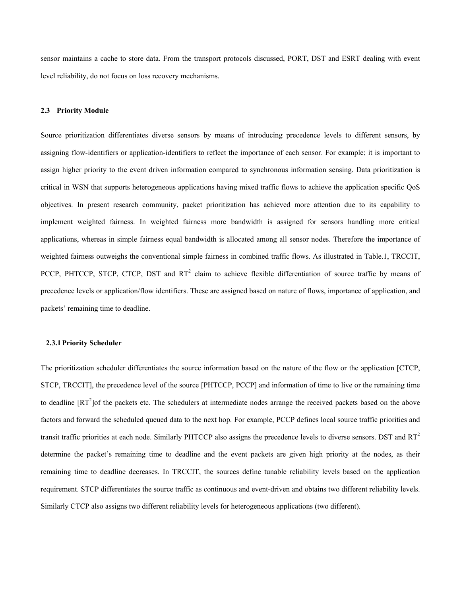sensor maintains a cache to store data. From the transport protocols discussed, PORT, DST and ESRT dealing with event level reliability, do not focus on loss recovery mechanisms.

#### **2.3 Priority Module**

Source prioritization differentiates diverse sensors by means of introducing precedence levels to different sensors, by assigning flow-identifiers or application-identifiers to reflect the importance of each sensor. For example; it is important to assign higher priority to the event driven information compared to synchronous information sensing. Data prioritization is critical in WSN that supports heterogeneous applications having mixed traffic flows to achieve the application specific QoS objectives. In present research community, packet prioritization has achieved more attention due to its capability to implement weighted fairness. In weighted fairness more bandwidth is assigned for sensors handling more critical applications, whereas in simple fairness equal bandwidth is allocated among all sensor nodes. Therefore the importance of weighted fairness outweighs the conventional simple fairness in combined traffic flows. As illustrated in Table.1, TRCCIT, PCCP, PHTCCP, STCP, CTCP, DST and  $RT^2$  claim to achieve flexible differentiation of source traffic by means of precedence levels or application/flow identifiers. These are assigned based on nature of flows, importance of application, and packets' remaining time to deadline.

#### **2.3.1Priority Scheduler**

The prioritization scheduler differentiates the source information based on the nature of the flow or the application [CTCP, STCP, TRCCIT], the precedence level of the source [PHTCCP, PCCP] and information of time to live or the remaining time to deadline  $[RT^2]$  of the packets etc. The schedulers at intermediate nodes arrange the received packets based on the above factors and forward the scheduled queued data to the next hop. For example, PCCP defines local source traffic priorities and transit traffic priorities at each node. Similarly PHTCCP also assigns the precedence levels to diverse sensors. DST and RT<sup>2</sup> determine the packet's remaining time to deadline and the event packets are given high priority at the nodes, as their remaining time to deadline decreases. In TRCCIT, the sources define tunable reliability levels based on the application requirement. STCP differentiates the source traffic as continuous and event-driven and obtains two different reliability levels. Similarly CTCP also assigns two different reliability levels for heterogeneous applications (two different).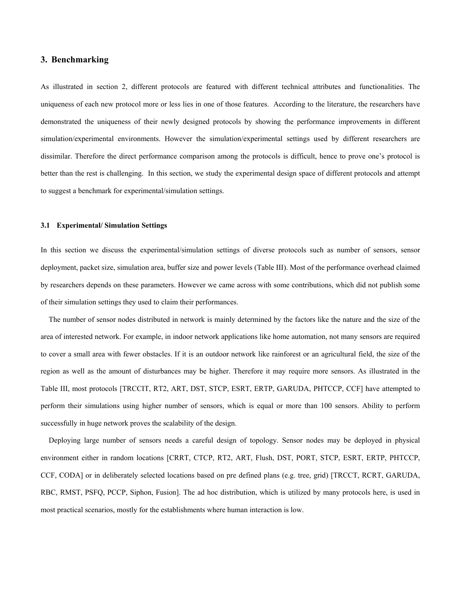## **3. Benchmarking**

As illustrated in section 2, different protocols are featured with different technical attributes and functionalities. The uniqueness of each new protocol more or less lies in one of those features. According to the literature, the researchers have demonstrated the uniqueness of their newly designed protocols by showing the performance improvements in different simulation/experimental environments. However the simulation/experimental settings used by different researchers are dissimilar. Therefore the direct performance comparison among the protocols is difficult, hence to prove one's protocol is better than the rest is challenging. In this section, we study the experimental design space of different protocols and attempt to suggest a benchmark for experimental/simulation settings.

#### **3.1 Experimental/ Simulation Settings**

In this section we discuss the experimental/simulation settings of diverse protocols such as number of sensors, sensor deployment, packet size, simulation area, buffer size and power levels (Table III). Most of the performance overhead claimed by researchers depends on these parameters. However we came across with some contributions, which did not publish some of their simulation settings they used to claim their performances.

The number of sensor nodes distributed in network is mainly determined by the factors like the nature and the size of the area of interested network. For example, in indoor network applications like home automation, not many sensors are required to cover a small area with fewer obstacles. If it is an outdoor network like rainforest or an agricultural field, the size of the region as well as the amount of disturbances may be higher. Therefore it may require more sensors. As illustrated in the Table III, most protocols [TRCCIT, RT2, ART, DST, STCP, ESRT, ERTP, GARUDA, PHTCCP, CCF] have attempted to perform their simulations using higher number of sensors, which is equal or more than 100 sensors. Ability to perform successfully in huge network proves the scalability of the design.

Deploying large number of sensors needs a careful design of topology. Sensor nodes may be deployed in physical environment either in random locations [CRRT, CTCP, RT2, ART, Flush, DST, PORT, STCP, ESRT, ERTP, PHTCCP, CCF, CODA] or in deliberately selected locations based on pre defined plans (e.g. tree, grid) [TRCCT, RCRT, GARUDA, RBC, RMST, PSFQ, PCCP, Siphon, Fusion]. The ad hoc distribution, which is utilized by many protocols here, is used in most practical scenarios, mostly for the establishments where human interaction is low.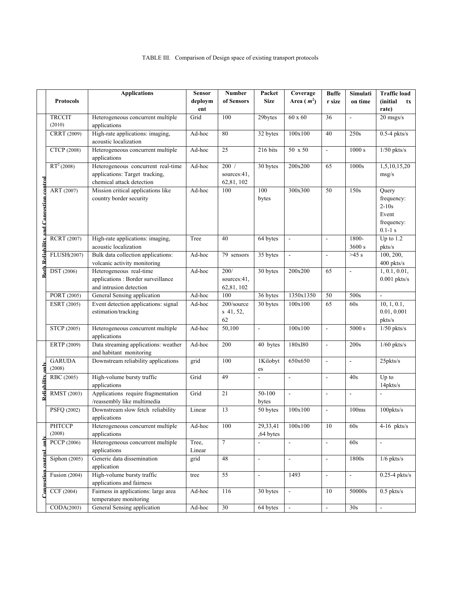|                                                |                        | <b>Applications</b>                               | <b>Sensor</b> | <b>Number</b>  | Packet                   | Coverage                 | <b>Buffe</b>             | Simulati                 | <b>Traffic load</b>       |
|------------------------------------------------|------------------------|---------------------------------------------------|---------------|----------------|--------------------------|--------------------------|--------------------------|--------------------------|---------------------------|
|                                                | <b>Protocols</b>       |                                                   | deploym       | of Sensors     | <b>Size</b>              | Area $(m^2)$             | r size                   | on time                  | (initial<br>tx            |
|                                                |                        |                                                   | ent           |                |                          |                          |                          |                          | rate)                     |
|                                                | <b>TRCCIT</b>          | Heterogeneous concurrent multiple                 | Grid          | 100            | 29bytes                  | $60 \times 60$           | 36                       | ÷,                       | $20$ msgs/s               |
|                                                | (2010)                 | applications<br>High-rate applications: imaging,  | Ad-hoc        | 80             |                          |                          | 40                       | 250s                     |                           |
|                                                | CRRT (2009)            | acoustic localization                             |               |                | 32 bytes                 | 100x100                  |                          |                          | $0.5-4$ pkts/s            |
|                                                | CTCP (2008)            | Heterogeneous concurrent multiple                 | Ad-hoc        | 25             | 216 bits                 | 50 x 50                  | $\overline{\phantom{a}}$ | 1000 s                   | $1/50$ pkts/s             |
|                                                |                        | applications                                      |               |                |                          |                          |                          |                          |                           |
|                                                | $RT^2(2008)$           | Heterogeneous concurrent real-time                | Ad-hoc        | 200/           | $30$ bytes               | 200x200                  | 65                       | 1000s                    | 1,5,10,15,20              |
|                                                |                        | applications: Target tracking,                    |               | sources:41,    |                          |                          |                          |                          | msg/s                     |
|                                                |                        | chemical attack detection                         |               | 62,81,102      |                          |                          |                          |                          |                           |
|                                                | ART (2007)             | Mission critical applications like                | Ad-hoc        | 100            | 100                      | 300x300                  | 50                       | 150s                     | Query                     |
|                                                |                        | country border security                           |               |                | bytes                    |                          |                          |                          | frequency:                |
|                                                |                        |                                                   |               |                |                          |                          |                          |                          | $2-10s$                   |
|                                                |                        |                                                   |               |                |                          |                          |                          |                          | Event                     |
|                                                |                        |                                                   |               |                |                          |                          |                          |                          | frequency:<br>$0.1 - 1 s$ |
|                                                | RCRT (2007)            | High-rate applications: imaging,                  | Tree          | 40             | 64 bytes                 | $\frac{1}{2}$            | $\mathbb{Z}^2$           | $1800 -$                 | Up to $1.2$               |
| <b>Both Reliability and Congestion control</b> |                        | acoustic localization                             |               |                |                          |                          |                          | 3600 s                   | pkts/s                    |
|                                                | FLUSH(2007)            | Bulk data collection applications:                | Ad-hoc        | 79 sensors     | 35 bytes                 | $\overline{\phantom{a}}$ | $\overline{\phantom{a}}$ | $>45$ s                  | 100, 200,                 |
|                                                |                        | volcanic activity monitoring                      |               |                |                          |                          |                          |                          | 400 pkts/s                |
|                                                | <b>DST</b> (2006)      | Heterogeneous real-time                           | Ad-hoc        | 200/           | 30 bytes                 | 200x200                  | $\overline{65}$          | $\overline{a}$           | 1, 0.1, 0.01,             |
|                                                |                        | applications : Border surveillance                |               | sources:41.    |                          |                          |                          |                          | $0.001$ pkts/s            |
|                                                |                        | and intrusion detection                           |               | 62,81,102      |                          |                          |                          |                          |                           |
|                                                | PORT (2005)            | General Sensing application                       | Ad-hoc        | 100            | 36 bytes                 | 1350x1350                | $50\,$                   | 500s                     | $\overline{a}$            |
|                                                | ESRT (2005)            | Event detection applications: signal              | Ad-hoc        | 200/source     | 30 bytes                 | 100x100                  | 65                       | 60s                      | 10, 1, 0.1,               |
|                                                |                        | estimation/tracking                               |               | s 41, 52,      |                          |                          |                          |                          | 0.01, 0.001               |
|                                                |                        |                                                   |               | 62<br>50,100   |                          |                          |                          | 5000 s                   | pkts/s                    |
|                                                | STCP (2005)            | Heterogeneous concurrent multiple<br>applications | Ad-hoc        |                | $\blacksquare$           | 100x100                  | $\Box$                   |                          | $1/50$ pkts/s             |
|                                                | ERTP (2009)            | Data streaming applications: weather              | Ad-hoc        | 200            | 40 bytes                 | 180x180                  | $\Box$                   | 200s                     | $1/60$ pkts/s             |
|                                                |                        | and habitant monitoring                           |               |                |                          |                          |                          |                          |                           |
|                                                | <b>GARUDA</b>          | Downstream reliability applications               | grid          | 100            | 1Kilobyt                 | 650x650                  | $\overline{a}$           | $\overline{\phantom{a}}$ | $25$ pkts/s               |
|                                                | (2008)                 |                                                   |               |                | es                       |                          |                          |                          |                           |
|                                                | RBC (2005)             | High-volume bursty traffic                        | Grid          | 49             | $\overline{\phantom{a}}$ | $\blacksquare$           | $\overline{\phantom{a}}$ | 40s                      | Up to                     |
| Reliability only                               |                        | applications                                      |               |                |                          |                          |                          |                          | 14pkts/s                  |
|                                                | RMST (2003)            | Applications require fragmentation                | Grid          | 21             | 50-100                   | $\overline{\phantom{a}}$ | $\overline{\phantom{a}}$ | $\overline{a}$           | $\overline{a}$            |
|                                                |                        | /reassembly like multimedia                       |               |                | bytes                    |                          |                          |                          |                           |
|                                                | PSFQ (2002)            | Downstream slow fetch reliability                 | Linear        | 13             | 50 bytes                 | 100x100                  | $\Box$                   | 100ms                    | 100pkts/s                 |
|                                                |                        | applications                                      |               |                |                          |                          |                          |                          |                           |
|                                                | PHTCCP<br>(2008)       | Heterogeneous concurrent multiple<br>applications | Ad-hoc        | 100            | 29,33,41<br>.64 bytes    | 100x100                  | 10                       | 60s                      | 4-16 pkts/s               |
| Ē                                              | <b>PCCP</b> (2006)     | Heterogeneous concurrent multiple                 | Tree,         | $\overline{7}$ |                          | $\blacksquare$           | $\omega$                 | 60s                      | $\overline{\phantom{a}}$  |
|                                                |                        | applications                                      | Linear        |                |                          |                          |                          |                          |                           |
| $_{\rm central}$                               | Siphon (2005)          | Generic data dissemination                        | grid          | 48             | $\blacksquare$           | $\blacksquare$           | $\blacksquare$           | 1800s                    | $1/6$ pkts/s              |
|                                                |                        | application                                       |               |                |                          |                          |                          |                          |                           |
|                                                | <b>Fusion</b> (2004)   | High-volume bursty traffic                        | tree          | 55             | $\blacksquare$           | 1493                     | $\blacksquare$           | $\blacksquare$           | $0.25-4$ pkts/s           |
| $\Box$ angestian                               |                        | applications and fairness                         |               |                |                          |                          |                          |                          |                           |
|                                                | $\overline{CCF(2004)}$ | Fairness in applications: large area              | Ad-hoc        | 116            | 30 bytes                 | $\sim$                   | 10                       | 50000s                   | $0.5$ pkts/s              |
|                                                |                        | temperature monitoring                            |               |                |                          |                          |                          |                          |                           |
|                                                | CODA(2003)             | General Sensing application                       | Ad-hoc        | 30             | 64 bytes                 | $\blacksquare$           | $\Box$                   | 30s                      | $\sim$                    |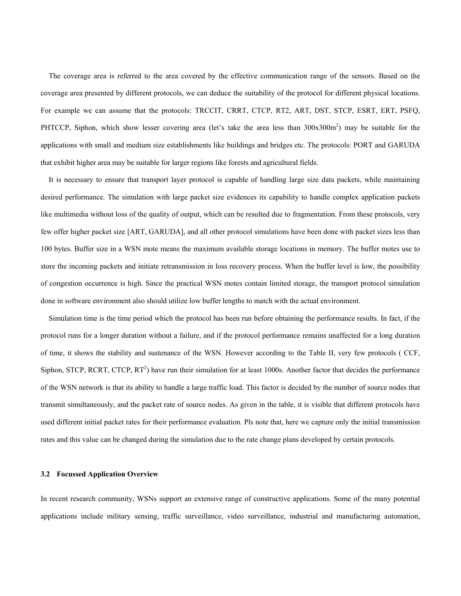The coverage area is referred to the area covered by the effective communication range of the sensors. Based on the coverage area presented by different protocols, we can deduce the suitability of the protocol for different physical locations. For example we can assume that the protocols: TRCCIT, CRRT, CTCP, RT2, ART, DST, STCP, ESRT, ERT, PSFQ, PHTCCP, Siphon, which show lesser covering area (let's take the area less than  $300x300m^2$ ) may be suitable for the applications with small and medium size establishments like buildings and bridges etc. The protocols: PORT and GARUDA that exhibit higher area may be suitable for larger regions like forests and agricultural fields.

It is necessary to ensure that transport layer protocol is capable of handling large size data packets, while maintaining desired performance. The simulation with large packet size evidences its capability to handle complex application packets like multimedia without loss of the quality of output, which can be resulted due to fragmentation. From these protocols, very few offer higher packet size [ART, GARUDA], and all other protocol simulations have been done with packet sizes less than 100 bytes. Buffer size in a WSN mote means the maximum available storage locations in memory. The buffer motes use to store the incoming packets and initiate retransmission in loss recovery process. When the buffer level is low, the possibility of congestion occurrence is high. Since the practical WSN motes contain limited storage, the transport protocol simulation done in software environment also should utilize low buffer lengths to match with the actual environment.

Simulation time is the time period which the protocol has been run before obtaining the performance results. In fact, if the protocol runs for a longer duration without a failure, and if the protocol performance remains unaffected for a long duration of time, it shows the stability and sustenance of the WSN. However according to the Table II, very few protocols ( CCF, Siphon, STCP, RCRT, CTCP,  $RT^2$ ) have run their simulation for at least 1000s. Another factor that decides the performance of the WSN network is that its ability to handle a large traffic load. This factor is decided by the number of source nodes that transmit simultaneously, and the packet rate of source nodes. As given in the table, it is visible that different protocols have used different initial packet rates for their performance evaluation. Pls note that, here we capture only the initial transmission rates and this value can be changed during the simulation due to the rate change plans developed by certain protocols.

#### **3.2 Focussed Application Overview**

In recent research community, WSNs support an extensive range of constructive applications. Some of the many potential applications include military sensing, traffic surveillance, video surveillance, industrial and manufacturing automation,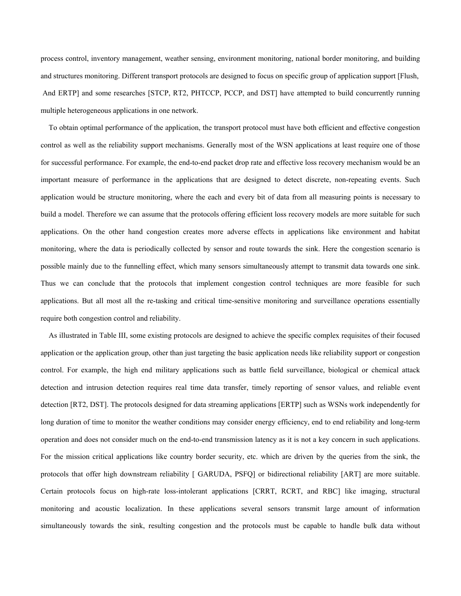process control, inventory management, weather sensing, environment monitoring, national border monitoring, and building and structures monitoring. Different transport protocols are designed to focus on specific group of application support [Flush, And ERTP] and some researches [STCP, RT2, PHTCCP, PCCP, and DST] have attempted to build concurrently running multiple heterogeneous applications in one network.

To obtain optimal performance of the application, the transport protocol must have both efficient and effective congestion control as well as the reliability support mechanisms. Generally most of the WSN applications at least require one of those for successful performance. For example, the end-to-end packet drop rate and effective loss recovery mechanism would be an important measure of performance in the applications that are designed to detect discrete, non-repeating events. Such application would be structure monitoring, where the each and every bit of data from all measuring points is necessary to build a model. Therefore we can assume that the protocols offering efficient loss recovery models are more suitable for such applications. On the other hand congestion creates more adverse effects in applications like environment and habitat monitoring, where the data is periodically collected by sensor and route towards the sink. Here the congestion scenario is possible mainly due to the funnelling effect, which many sensors simultaneously attempt to transmit data towards one sink. Thus we can conclude that the protocols that implement congestion control techniques are more feasible for such applications. But all most all the re-tasking and critical time-sensitive monitoring and surveillance operations essentially require both congestion control and reliability.

As illustrated in Table III, some existing protocols are designed to achieve the specific complex requisites of their focused application or the application group, other than just targeting the basic application needs like reliability support or congestion control. For example, the high end military applications such as battle field surveillance, biological or chemical attack detection and intrusion detection requires real time data transfer, timely reporting of sensor values, and reliable event detection [RT2, DST]. The protocols designed for data streaming applications [ERTP] such as WSNs work independently for long duration of time to monitor the weather conditions may consider energy efficiency, end to end reliability and long-term operation and does not consider much on the end-to-end transmission latency as it is not a key concern in such applications. For the mission critical applications like country border security, etc. which are driven by the queries from the sink, the protocols that offer high downstream reliability [ GARUDA, PSFQ] or bidirectional reliability [ART] are more suitable. Certain protocols focus on high-rate loss-intolerant applications [CRRT, RCRT, and RBC] like imaging, structural monitoring and acoustic localization. In these applications several sensors transmit large amount of information simultaneously towards the sink, resulting congestion and the protocols must be capable to handle bulk data without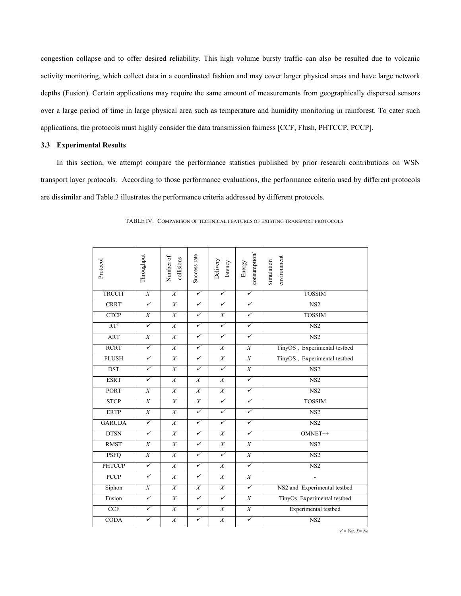congestion collapse and to offer desired reliability. This high volume bursty traffic can also be resulted due to volcanic activity monitoring, which collect data in a coordinated fashion and may cover larger physical areas and have large network depths (Fusion). Certain applications may require the same amount of measurements from geographically dispersed sensors over a large period of time in large physical area such as temperature and humidity monitoring in rainforest. To cater such applications, the protocols must highly consider the data transmission fairness [CCF, Flush, PHTCCP, PCCP].

## **3.3 Experimental Results**

 In this section, we attempt compare the performance statistics published by prior research contributions on WSN transport layer protocols. According to those performance evaluations, the performance criteria used by different protocols are dissimilar and Table.3 illustrates the performance criteria addressed by different protocols.

| Protocol        | Throughput       | Number of<br>collisions | Success rate     | Delivery<br>latency | consumption/<br>Energy | environment<br>Simulation    |
|-----------------|------------------|-------------------------|------------------|---------------------|------------------------|------------------------------|
| <b>TRCCIT</b>   | $\overline{X}$   | $\overline{X}$          | ✓                | ✓                   | $\checkmark$           | <b>TOSSIM</b>                |
| <b>CRRT</b>     | $\checkmark$     | $\overline{X}$          | ✓                | $\checkmark$        | $\checkmark$           | NS <sub>2</sub>              |
| <b>CTCP</b>     | $\overline{X}$   | $\overline{X}$          | ✓                | $\boldsymbol{X}$    | $\checkmark$           | <b>TOSSIM</b>                |
| RT <sup>2</sup> | $\checkmark$     | $\overline{X}$          | $\checkmark$     | $\checkmark$        | $\checkmark$           | NS <sub>2</sub>              |
| <b>ART</b>      | $\overline{X}$   | $\overline{X}$          | $\checkmark$     | $\checkmark$        | $\checkmark$           | NS2                          |
| <b>RCRT</b>     | $\checkmark$     | X                       | ✓                | $\boldsymbol{X}$    | X                      | TinyOS, Experimental testbed |
| <b>FLUSH</b>    | $\checkmark$     | $\overline{X}$          | ✓                | $\boldsymbol{X}$    | $\boldsymbol{X}$       | TinyOS, Experimental testbed |
| <b>DST</b>      | $\checkmark$     | $\overline{X}$          | ✓                | $\checkmark$        | $\boldsymbol{X}$       | NS2                          |
| <b>ESRT</b>     | $\checkmark$     | $\overline{X}$          | $\overline{X}$   | $\overline{X}$      | $\checkmark$           | NS <sub>2</sub>              |
| <b>PORT</b>     | X                | X                       | $\overline{X}$   | $\overline{X}$      | $\checkmark$           | NS2                          |
| <b>STCP</b>     | $\overline{X}$   | $\overline{X}$          | $\boldsymbol{X}$ | $\checkmark$        | $\checkmark$           | <b>TOSSIM</b>                |
| <b>ERTP</b>     | $\overline{X}$   | $\overline{X}$          | ✓                | $\checkmark$        | $\checkmark$           | NS2                          |
| <b>GARUDA</b>   | $\checkmark$     | $\overline{X}$          | $\checkmark$     | $\checkmark$        | $\checkmark$           | NS2                          |
| <b>DTSN</b>     | $\checkmark$     | $\overline{X}$          | ✓                | $\overline{X}$      | $\checkmark$           | OMNET++                      |
| <b>RMST</b>     | X                | X                       | ✓                | $\overline{X}$      | $\overline{X}$         | $\overline{\text{NS2}}$      |
| <b>PSFQ</b>     | $\overline{X}$   | $\overline{X}$          | ✓                | $\checkmark$        | $\overline{X}$         | NS2                          |
| <b>PHTCCP</b>   | $\checkmark$     | $\overline{X}$          | $\checkmark$     | $\overline{X}$      | $\checkmark$           | NS <sub>2</sub>              |
| <b>PCCP</b>     | $\checkmark$     | $\overline{X}$          | $\checkmark$     | $\overline{X}$      | $\overline{X}$         | $\overline{a}$               |
| Siphon          | $\boldsymbol{X}$ | $\overline{X}$          | $\overline{X}$   | $\overline{X}$      | $\checkmark$           | NS2 and Experimental testbed |
| Fusion          | $\checkmark$     | $\overline{X}$          | ✓                | $\checkmark$        | $\overline{X}$         | TinyOs Experimental testbed  |
| <b>CCF</b>      | $\checkmark$     | $\overline{X}$          | $\checkmark$     | $\boldsymbol{X}$    | $\boldsymbol{X}$       | Experimental testbed         |
| <b>CODA</b>     | $\checkmark$     | $\overline{X}$          | ✓                | $\overline{X}$      | $\checkmark$           | $\overline{\text{NS2}}$      |

TABLE IV. COMPARISON OF TECHNICAL FEATURES OF EXISTING TRANSPORT PROTOCOLS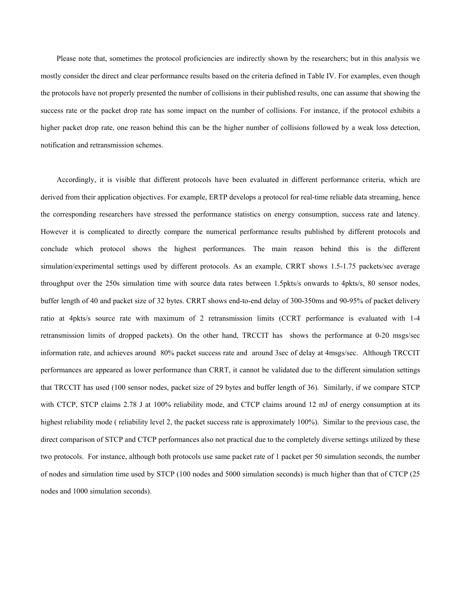Please note that, sometimes the protocol proficiencies are indirectly shown by the researchers; but in this analysis we mostly consider the direct and clear performance results based on the criteria defined in Table IV. For examples, even though the protocols have not properly presented the number of collisions in their published results, one can assume that showing the success rate or the packet drop rate has some impact on the number of collisions. For instance, if the protocol exhibits a higher packet drop rate, one reason behind this can be the higher number of collisions followed by a weak loss detection, notification and retransmission schemes.

 Accordingly, it is visible that different protocols have been evaluated in different performance criteria, which are derived from their application objectives. For example, ERTP develops a protocol for real-time reliable data streaming, hence the corresponding researchers have stressed the performance statistics on energy consumption, success rate and latency. However it is complicated to directly compare the numerical performance results published by different protocols and conclude which protocol shows the highest performances. The main reason behind this is the different simulation/experimental settings used by different protocols. As an example, CRRT shows 1.5-1.75 packets/sec average throughput over the 250s simulation time with source data rates between 1.5pkts/s onwards to 4pkts/s, 80 sensor nodes, buffer length of 40 and packet size of 32 bytes. CRRT shows end-to-end delay of 300-350ms and 90-95% of packet delivery ratio at 4pkts/s source rate with maximum of 2 retransmission limits (CCRT performance is evaluated with 1-4 retransmission limits of dropped packets). On the other hand, TRCCIT has shows the performance at 0-20 msgs/sec information rate, and achieves around 80% packet success rate and around 3sec of delay at 4msgs/sec. Although TRCCIT performances are appeared as lower performance than CRRT, it cannot be validated due to the different simulation settings that TRCCIT has used (100 sensor nodes, packet size of 29 bytes and buffer length of 36). Similarly, if we compare STCP with CTCP, STCP claims 2.78 J at 100% reliability mode, and CTCP claims around 12 mJ of energy consumption at its highest reliability mode ( reliability level 2, the packet success rate is approximately 100%). Similar to the previous case, the direct comparison of STCP and CTCP performances also not practical due to the completely diverse settings utilized by these two protocols. For instance, although both protocols use same packet rate of 1 packet per 50 simulation seconds, the number of nodes and simulation time used by STCP (100 nodes and 5000 simulation seconds) is much higher than that of CTCP (25 nodes and 1000 simulation seconds).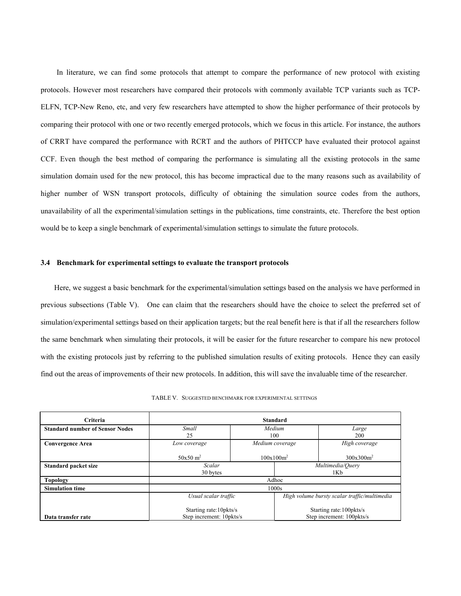In literature, we can find some protocols that attempt to compare the performance of new protocol with existing protocols. However most researchers have compared their protocols with commonly available TCP variants such as TCP-ELFN, TCP-New Reno, etc, and very few researchers have attempted to show the higher performance of their protocols by comparing their protocol with one or two recently emerged protocols, which we focus in this article. For instance, the authors of CRRT have compared the performance with RCRT and the authors of PHTCCP have evaluated their protocol against CCF. Even though the best method of comparing the performance is simulating all the existing protocols in the same simulation domain used for the new protocol, this has become impractical due to the many reasons such as availability of higher number of WSN transport protocols, difficulty of obtaining the simulation source codes from the authors, unavailability of all the experimental/simulation settings in the publications, time constraints, etc. Therefore the best option would be to keep a single benchmark of experimental/simulation settings to simulate the future protocols.

#### **3.4 Benchmark for experimental settings to evaluate the transport protocols**

Here, we suggest a basic benchmark for the experimental/simulation settings based on the analysis we have performed in previous subsections (Table V). One can claim that the researchers should have the choice to select the preferred set of simulation/experimental settings based on their application targets; but the real benefit here is that if all the researchers follow the same benchmark when simulating their protocols, it will be easier for the future researcher to compare his new protocol with the existing protocols just by referring to the published simulation results of exiting protocols. Hence they can easily find out the areas of improvements of their new protocols. In addition, this will save the invaluable time of the researcher.

| TABLE V. SUGGESTED BENCHMARK FOR EXPERIMENTAL SETTINGS |
|--------------------------------------------------------|
|--------------------------------------------------------|

| Criteria                               | <b>Standard</b>                                     |                 |                                                        |               |  |  |  |
|----------------------------------------|-----------------------------------------------------|-----------------|--------------------------------------------------------|---------------|--|--|--|
| <b>Standard number of Sensor Nodes</b> | Small                                               | Medium          |                                                        | Large         |  |  |  |
|                                        | 25                                                  |                 | 100                                                    | 200           |  |  |  |
| <b>Convergence Area</b>                | Low coverage                                        | Medium coverage |                                                        | High coverage |  |  |  |
|                                        | $50x50 \text{ m}^2$                                 |                 | $100x100m^2$                                           | $300x300m^2$  |  |  |  |
| <b>Standard packet size</b>            | Scalar                                              |                 | Multimedia/Query                                       |               |  |  |  |
|                                        | 30 bytes                                            |                 |                                                        | 1Kb           |  |  |  |
| <b>Topology</b>                        | Adhoc                                               |                 |                                                        |               |  |  |  |
| <b>Simulation time</b>                 | 1000s                                               |                 |                                                        |               |  |  |  |
|                                        | Usual scalar traffic                                |                 | High volume bursty scalar traffic/multimedia           |               |  |  |  |
| Data transfer rate                     | Starting rate: 10pkts/s<br>Step increment: 10pkts/s |                 | Starting rate: 100 pkts/s<br>Step increment: 100pkts/s |               |  |  |  |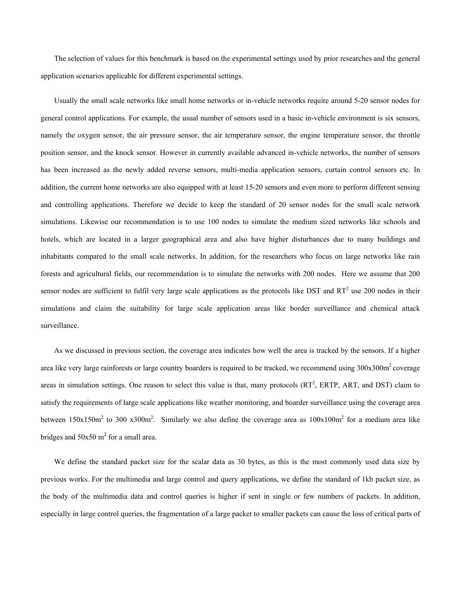The selection of values for this benchmark is based on the experimental settings used by prior researches and the general application scenarios applicable for different experimental settings.

Usually the small scale networks like small home networks or in-vehicle networks require around 5-20 sensor nodes for general control applications. For example, the usual number of sensors used in a basic in-vehicle environment is six sensors, namely the oxygen sensor, the air pressure sensor, the air temperature sensor, the engine temperature sensor, the throttle position sensor, and the knock sensor. However in currently available advanced in-vehicle networks, the number of sensors has been increased as the newly added reverse sensors, multi-media application sensors, curtain control sensors etc. In addition, the current home networks are also equipped with at least 15-20 sensors and even more to perform different sensing and controlling applications. Therefore we decide to keep the standard of 20 sensor nodes for the small scale network simulations. Likewise our recommendation is to use 100 nodes to simulate the medium sized networks like schools and hotels, which are located in a larger geographical area and also have higher disturbances due to many buildings and inhabitants compared to the small scale networks. In addition, for the researchers who focus on large networks like rain forests and agricultural fields, our recommendation is to simulate the networks with 200 nodes. Here we assume that 200 sensor nodes are sufficient to fulfil very large scale applications as the protocols like DST and  $RT^2$  use 200 nodes in their simulations and claim the suitability for large scale application areas like border surveillance and chemical attack surveillance.

As we discussed in previous section, the coverage area indicates how well the area is tracked by the sensors. If a higher area like very large rainforests or large country boarders is required to be tracked, we recommend using  $300x300m^2$  coverage areas in simulation settings. One reason to select this value is that, many protocols  $(RT<sup>2</sup>, ERTP, ART, and DST)$  claim to satisfy the requirements of large scale applications like weather monitoring, and boarder surveillance using the coverage area between  $150x150m^2$  to 300 x300m<sup>2</sup>. Similarly we also define the coverage area as  $100x100m^2$  for a medium area like bridges and  $50x50$  m<sup>2</sup> for a small area.

We define the standard packet size for the scalar data as 30 bytes, as this is the most commonly used data size by previous works. For the multimedia and large control and query applications, we define the standard of 1kb packet size, as the body of the multimedia data and control queries is higher if sent in single or few numbers of packets. In addition, especially in large control queries, the fragmentation of a large packet to smaller packets can cause the loss of critical parts of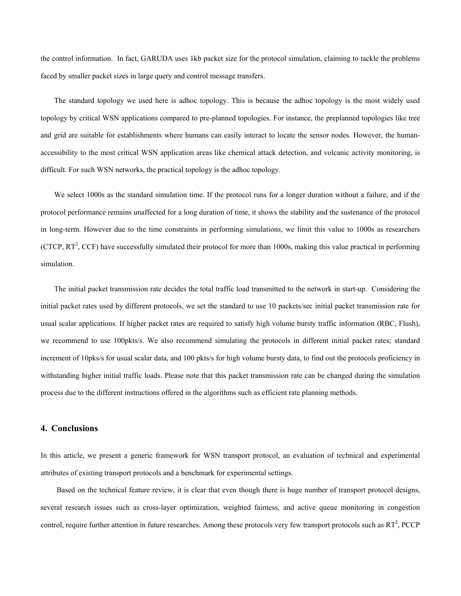the control information. In fact, GARUDA uses 1kb packet size for the protocol simulation, claiming to tackle the problems faced by smaller packet sizes in large query and control message transfers.

The standard topology we used here is adhoc topology. This is because the adhoc topology is the most widely used topology by critical WSN applications compared to pre-planned topologies. For instance, the preplanned topologies like tree and grid are suitable for establishments where humans can easily interact to locate the sensor nodes. However, the humanaccessibility to the most critical WSN application areas like chemical attack detection, and volcanic activity monitoring, is difficult. For such WSN networks, the practical topology is the adhoc topology.

We select 1000s as the standard simulation time. If the protocol runs for a longer duration without a failure, and if the protocol performance remains unaffected for a long duration of time, it shows the stability and the sustenance of the protocol in long-term. However due to the time constraints in performing simulations, we limit this value to 1000s as researchers (CTCP,  $RT^2$ , CCF) have successfully simulated their protocol for more than 1000s, making this value practical in performing simulation.

The initial packet transmission rate decides the total traffic load transmitted to the network in start-up. Considering the initial packet rates used by different protocols, we set the standard to use 10 packets/sec initial packet transmission rate for usual scalar applications. If higher packet rates are required to satisfy high volume bursty traffic information (RBC, Flush), we recommend to use 100pkts/s. We also recommend simulating the protocols in different initial packet rates; standard increment of 10pks/s for usual scalar data, and 100 pkts/s for high volume bursty data, to find out the protocols proficiency in withstanding higher initial traffic loads. Please note that this packet transmission rate can be changed during the simulation process due to the different instructions offered in the algorithms such as efficient rate planning methods.

# **4. Conclusions**

In this article, we present a generic framework for WSN transport protocol, an evaluation of technical and experimental attributes of existing transport protocols and a benchmark for experimental settings.

Based on the technical feature review, it is clear that even though there is huge number of transport protocol designs, several research issues such as cross-layer optimization, weighted fairness, and active queue monitoring in congestion control, require further attention in future researches. Among these protocols very few transport protocols such as  $RT^2$ , PCCP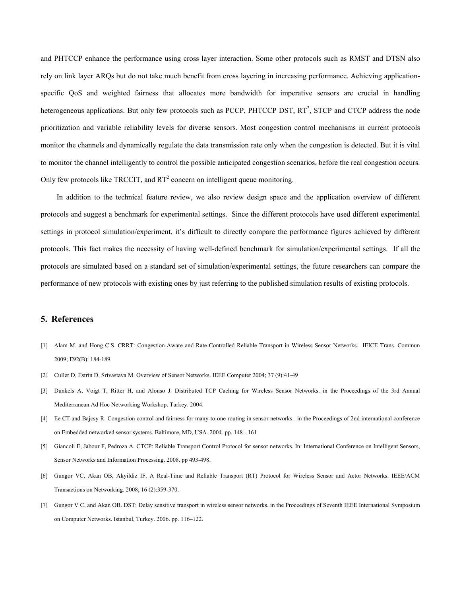and PHTCCP enhance the performance using cross layer interaction. Some other protocols such as RMST and DTSN also rely on link layer ARQs but do not take much benefit from cross layering in increasing performance. Achieving applicationspecific QoS and weighted fairness that allocates more bandwidth for imperative sensors are crucial in handling heterogeneous applications. But only few protocols such as PCCP, PHTCCP DST, RT<sup>2</sup>, STCP and CTCP address the node prioritization and variable reliability levels for diverse sensors. Most congestion control mechanisms in current protocols monitor the channels and dynamically regulate the data transmission rate only when the congestion is detected. But it is vital to monitor the channel intelligently to control the possible anticipated congestion scenarios, before the real congestion occurs. Only few protocols like TRCCIT, and  $RT^2$  concern on intelligent queue monitoring.

In addition to the technical feature review, we also review design space and the application overview of different protocols and suggest a benchmark for experimental settings. Since the different protocols have used different experimental settings in protocol simulation/experiment, it's difficult to directly compare the performance figures achieved by different protocols. This fact makes the necessity of having well-defined benchmark for simulation/experimental settings. If all the protocols are simulated based on a standard set of simulation/experimental settings, the future researchers can compare the performance of new protocols with existing ones by just referring to the published simulation results of existing protocols.

# **5. References**

- [1] Alam M. and Hong C.S. CRRT: Congestion-Aware and Rate-Controlled Reliable Transport in Wireless Sensor Networks. IEICE Trans. Commun 2009; E92(B): 184-189
- [2] Culler D, Estrin D, Srivastava M. Overview of Sensor Networks. IEEE Computer 2004; 37 (9):41-49
- [3] Dunkels A, Voigt T, Ritter H, and Alonso J. Distributed TCP Caching for Wireless Sensor Networks. in the Proceedings of the 3rd Annual Mediterranean Ad Hoc Networking Workshop. Turkey. 2004.
- [4] Ee CT and Bajcsy R. Congestion control and fairness for many-to-one routing in sensor networks. in the Proceedings of 2nd international conference on Embedded networked sensor systems. Baltimore, MD, USA. 2004. pp. 148 - 161
- [5] Giancoli E, Jabour F, Pedroza A. CTCP: Reliable Transport Control Protocol for sensor networks. In: International Conference on Intelligent Sensors, Sensor Networks and Information Processing. 2008. pp 493-498.
- [6] Gungor VC, Akan OB, Akyildiz IF. A Real-Time and Reliable Transport (RT) Protocol for Wireless Sensor and Actor Networks. IEEE/ACM Transactions on Networking. 2008; 16 (2):359-370.
- [7] Gungor V C, and Akan OB. DST: Delay sensitive transport in wireless sensor networks. in the Proceedings of Seventh IEEE International Symposium on Computer Networks. Istanbul, Turkey. 2006. pp. 116–122.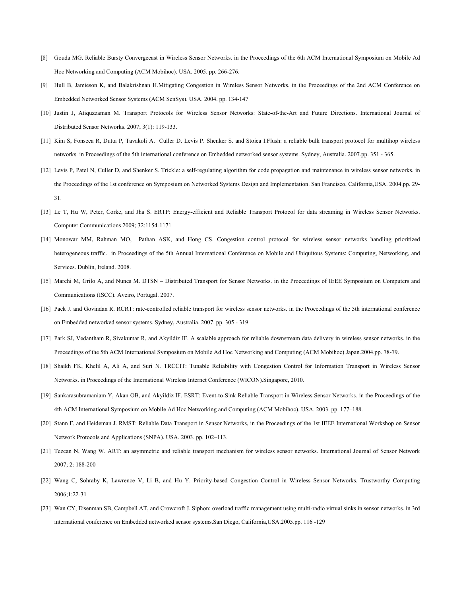- [8] Gouda MG. Reliable Bursty Convergecast in Wireless Sensor Networks. in the Proceedings of the 6th ACM International Symposium on Mobile Ad Hoc Networking and Computing (ACM Mobihoc). USA. 2005. pp. 266-276.
- [9] Hull B, Jamieson K, and Balakrishnan H.Mitigating Congestion in Wireless Sensor Networks. in the Proceedings of the 2nd ACM Conference on Embedded Networked Sensor Systems (ACM SenSys). USA. 2004. pp. 134-147
- [10] Justin J, Atiquzzaman M. Transport Protocols for Wireless Sensor Networks: State-of-the-Art and Future Directions. International Journal of Distributed Sensor Networks. 2007; 3(1): 119-133.
- [11] Kim S, Fonseca R, Dutta P, Tavakoli A. Culler D. Levis P. Shenker S. and Stoica I.Flush: a reliable bulk transport protocol for multihop wireless networks. in Proceedings of the 5th international conference on Embedded networked sensor systems. Sydney, Australia. 2007.pp. 351 - 365.
- [12] Levis P, Patel N, Culler D, and Shenker S. Trickle: a self-regulating algorithm for code propagation and maintenance in wireless sensor networks. in the Proceedings of the 1st conference on Symposium on Networked Systems Design and Implementation. San Francisco, California,USA. 2004.pp. 29- 31.
- [13] Le T, Hu W, Peter, Corke, and Jha S. ERTP: Energy-efficient and Reliable Transport Protocol for data streaming in Wireless Sensor Networks. Computer Communications 2009; 32:1154-1171
- [14] Monowar MM, Rahman MO, Pathan ASK, and Hong CS. Congestion control protocol for wireless sensor networks handling prioritized heterogeneous traffic. in Proceedings of the 5th Annual International Conference on Mobile and Ubiquitous Systems: Computing, Networking, and Services. Dublin, Ireland. 2008.
- [15] Marchi M, Grilo A, and Nunes M. DTSN Distributed Transport for Sensor Networks. in the Proceedings of IEEE Symposium on Computers and Communications (ISCC). Aveiro, Portugal. 2007.
- [16] Paek J. and Govindan R. RCRT: rate-controlled reliable transport for wireless sensor networks. in the Proceedings of the 5th international conference on Embedded networked sensor systems. Sydney, Australia. 2007. pp. 305 - 319.
- [17] Park SJ, Vedantham R, Sivakumar R, and Akyildiz IF. A scalable approach for reliable downstream data delivery in wireless sensor networks. in the Proceedings of the 5th ACM International Symposium on Mobile Ad Hoc Networking and Computing (ACM Mobihoc).Japan.2004.pp. 78-79.
- [18] Shaikh FK, Khelil A, Ali A, and Suri N. TRCCIT: Tunable Reliability with Congestion Control for Information Transport in Wireless Sensor Networks. in Proceedings of the International Wireless Internet Conference (WICON).Singapore, 2010.
- [19] Sankarasubramaniam Y, Akan OB, and Akyildiz IF. ESRT: Event-to-Sink Reliable Transport in Wireless Sensor Networks. in the Proceedings of the 4th ACM International Symposium on Mobile Ad Hoc Networking and Computing (ACM Mobihoc). USA. 2003. pp. 177–188.
- [20] Stann F, and Heideman J. RMST: Reliable Data Transport in Sensor Networks, in the Proceedings of the 1st IEEE International Workshop on Sensor Network Protocols and Applications (SNPA). USA. 2003. pp. 102–113.
- [21] Tezcan N, Wang W. ART: an asymmetric and reliable transport mechanism for wireless sensor networks. International Journal of Sensor Network 2007; 2: 188-200
- [22] Wang C, Sohraby K, Lawrence V, Li B, and Hu Y. Priority-based Congestion Control in Wireless Sensor Networks. Trustworthy Computing 2006;1:22-31
- [23] Wan CY, Eisenman SB, Campbell AT, and Crowcroft J. Siphon: overload traffic management using multi-radio virtual sinks in sensor networks. in 3rd international conference on Embedded networked sensor systems.San Diego, California,USA.2005.pp. 116 -129